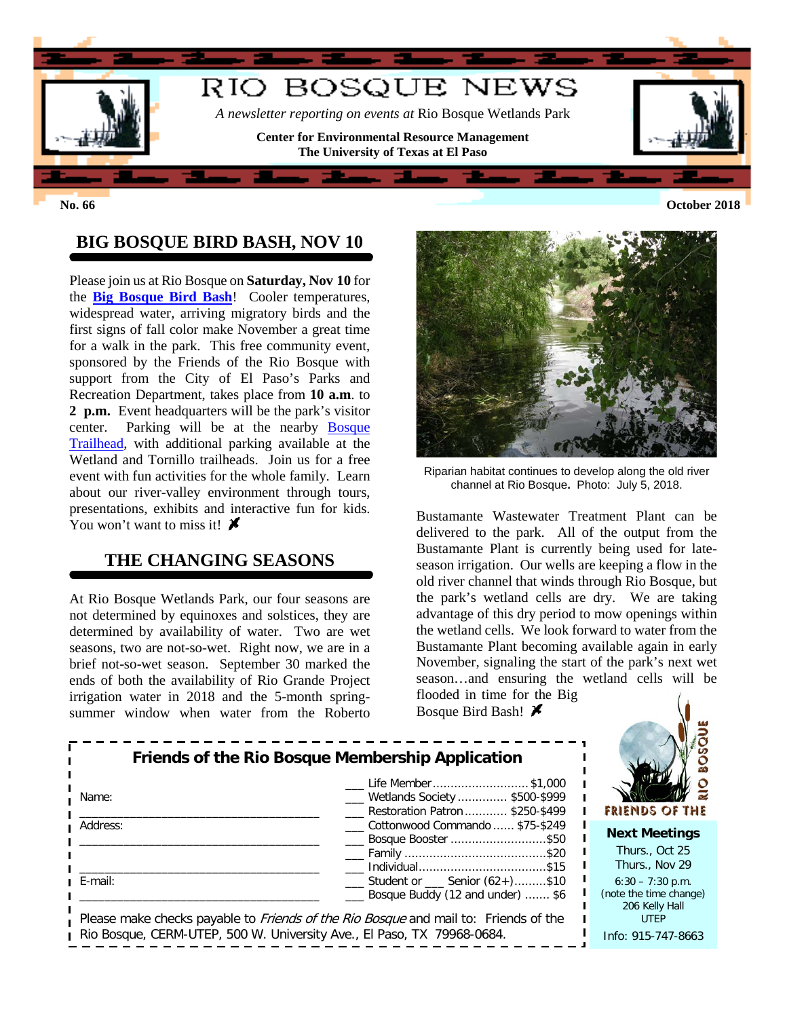

# **BIG BOSQUE BIRD BASH, NOV 10**

Please join us at Rio Bosque on **Saturday, Nov 10** for the **[Big Bosque Bird Bash](https://research.utep.edu/Default.aspx?tabid=65792)**! Cooler temperatures, widespread water, arriving migratory birds and the first signs of fall color make November a great time for a walk in the park. This free community event, sponsored by the Friends of the Rio Bosque with support from the City of El Paso's Parks and Recreation Department, takes place from **10 a.m**. to **2 p.m.** Event headquarters will be the park's visitor center. Parking will be at the nearby [Bosque](https://research.utep.edu/Default.aspx?tabid=67249)  [Trailhead,](https://research.utep.edu/Default.aspx?tabid=67249) with additional parking available at the Wetland and Tornillo trailheads. Join us for a free event with fun activities for the whole family. Learn about our river-valley environment through tours, presentations, exhibits and interactive fun for kids. You won't want to miss it!  $\boldsymbol{\mathcal{F}}$ 

#### **THE CHANGING SEASONS**

At Rio Bosque Wetlands Park, our four seasons are not determined by equinoxes and solstices, they are determined by availability of water. Two are wet seasons, two are not-so-wet. Right now, we are in a brief not-so-wet season. September 30 marked the ends of both the availability of Rio Grande Project irrigation water in 2018 and the 5-month springsummer window when water from the Roberto



Riparian habitat continues to develop along the old river channel at Rio Bosque**.** Photo: July 5, 2018.

Bustamante Wastewater Treatment Plant can be delivered to the park. All of the output from the Bustamante Plant is currently being used for lateseason irrigation. Our wells are keeping a flow in the old river channel that winds through Rio Bosque, but the park's wetland cells are dry. We are taking advantage of this dry period to mow openings within the wetland cells. We look forward to water from the Bustamante Plant becoming available again in early November, signaling the start of the park's next wet season…and ensuring the wetland cells will be flooded in time for the Big

Bosque Bird Bash!

| <b>Friends of the Rio Bosque Membership Application</b>                                    | Life Member \$1,000                                        |                       |
|--------------------------------------------------------------------------------------------|------------------------------------------------------------|-----------------------|
| Name:                                                                                      | Wetlands Society  \$500-\$999                              |                       |
|                                                                                            | Restoration Patron  \$250-\$499                            | FRIENI                |
| Address:                                                                                   | Cottonwood Commando  \$75-\$249<br>___ Bosque Booster \$50 | Next I                |
|                                                                                            |                                                            | <b>Thurs</b>          |
|                                                                                            |                                                            | <b>Thurs</b>          |
| E-mail:                                                                                    | $\frac{1}{1}$ Student or $\frac{1}{1}$ Senior (62+)\$10    | $6:30 -$              |
|                                                                                            | Bosque Buddy (12 and under)  \$6                           | (note the<br>$206 \,$ |
| Please make checks payable to <i>Friends of the Rio Bosque</i> and mail to: Friends of the |                                                            |                       |
| Rio Bosque, CERM-UTEP, 500 W. University Ave., El Paso, TX 79968-0684.                     |                                                            | Info: $91$            |



#### **Meetings**

.., Oct 25  $\mathbf{S}$ ., Nov 29 7:30 p.m. time change) Kelly Hall UTEP 5-747-8663